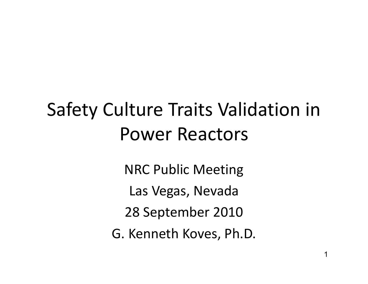# Safety Culture Traits Validation in Power Reactors

NRC Public Meeting Las Vegas, Nevada 28 September 2010 G. Kenneth Koves, Ph.D.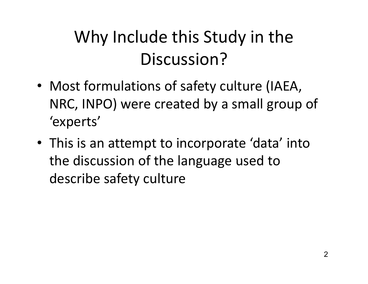### Why Include this Study in the Discussion?

- Most formulations of safety culture (IAEA, NRC, INPO) were created by a small group of 'experts '
- This is an attempt to incorporate 'data' into the discussion of the language used to describe safety culture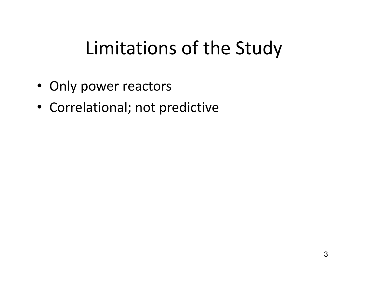## Limitations of the Study

- Only power reactors
- Correlational; not predictive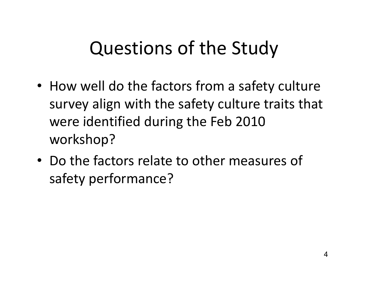# Questions of the Study

- How well do the factors from a safety culture survey align with the safety culture traits that were identified during the Feb 2010 workshop?
- Do the factors relate to other measures of safety performance?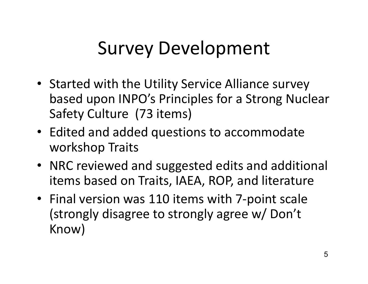# Survey Development

- Started with the Utility Service Alliance survey based upon INPO's Principles for a Strong Nuclear Safety Culture (73 items)
- Edited and added questions to accommodate workshop Traits
- NRC reviewed and suggested edits and additional items based on Traits, IAEA, ROP, and literature
- Final version was 110 items with 7-point scale (strongly disagree to strongly agree w/ Don't Know)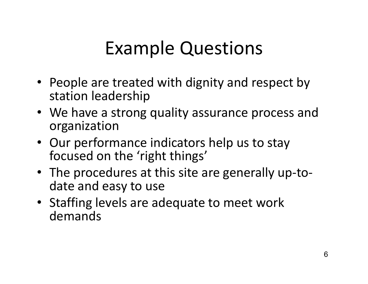# **Example Questions**

- People are treated with dignity and respect by station leadership
- We have a strong quality assurance process and organization
- Our performance indicators help us to stay focused on the 'right things'
- The procedures at this site are generally up-todate and easy to use
- Staffing levels are adequate to meet work demands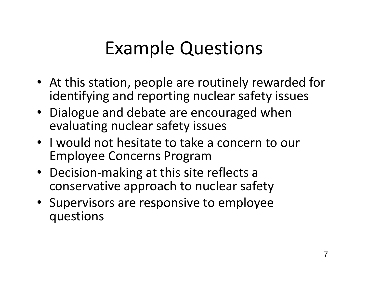# **Example Questions**

- At this station, people are routinely rewarded for identifying and reporting nuclear safety issues
- Dialogue and debate are encouraged when evaluating nuclear safety issues
- I would not hesitate to take a concern to our Employee Concerns Program
- Decision-making at this site reflects a conservative approach to nuclear safety
- Supervisors are responsive to employee questions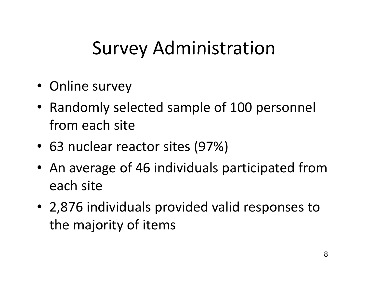# Survey Administration

- Online survey
- Randomly selected sample of 100 personnel from each site
- 63 nuclear reactor sites (97%)
- An average of 46 individuals participated from each site
- 2,876 individuals provided valid responses to the majority of items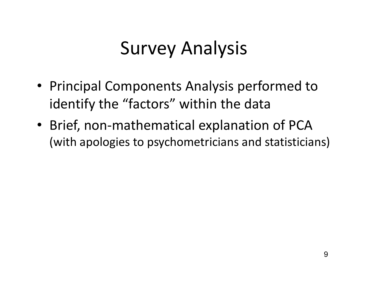# Survey Analysis

- Principal Components Analysis performed to identify the "factors" within the data
- Brief, non-mathematical explanation of PCA (with apologies to psychometricians and statisticians)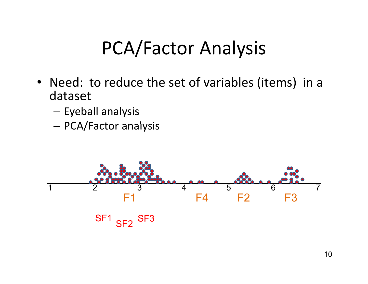### PCA/Factor Analysis

- Need: to reduce the set of variables (items) in a dataset
	- –— Eyeball analysis
	- –PCA/Factor analysis

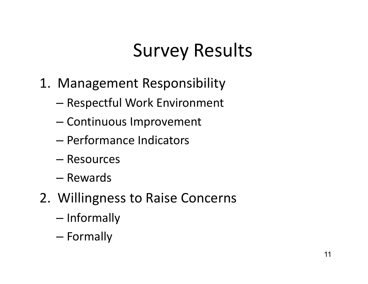# Survey Results

- 1. Management Responsibility
	- Respectful Work Environment
	- Continuous Improvement
	- Performance Indicators
	- Resources
	- Rewards
- 2. Willingness to Raise Concerns
	- Informally
	- Formally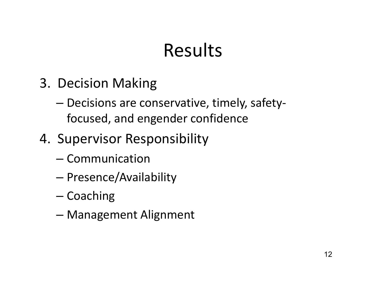### Results

- 3. Decision Making
	- Decisions are conservative, timely, safetyfocused, and engender confidence
- 4. Supervisor Responsibility
	- Communication
	- Presence/Availability
	- Coaching
	- Management Alignment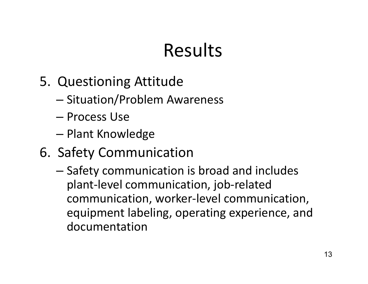### Results

- 5. Questioning Attitude
	- Situation/Problem Awareness
	- Process Use
	- Plant Knowledge
- 6. Safety Communication
	- Safety communication is broad and includes plant-level communication, job-related communication, worker-level communication, equipment labeling, operating experience, and documentation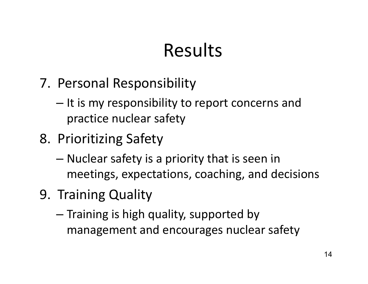### Results

- 7. Personal Responsibility
	- $-$  It is my responsibility to report concerns and practice nuclear safety
- 8. Prioritizing Safety
	- $-$  Nuclear safety is a priority that is seen in meetings, expectations, coaching, and decisions
- 9. Training Quality
	- $-$  Training is high quality, supported by management and encourages nuclear safety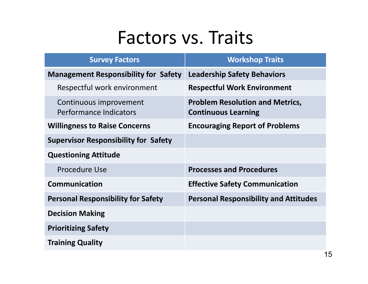#### Factors vs. Traits

| <b>Survey Factors</b>                            | <b>Workshop Traits</b>                                               |  |  |  |  |
|--------------------------------------------------|----------------------------------------------------------------------|--|--|--|--|
| <b>Management Responsibility for Safety</b>      | <b>Leadership Safety Behaviors</b>                                   |  |  |  |  |
| Respectful work environment                      | <b>Respectful Work Environment</b>                                   |  |  |  |  |
| Continuous improvement<br>Performance Indicators | <b>Problem Resolution and Metrics,</b><br><b>Continuous Learning</b> |  |  |  |  |
| <b>Willingness to Raise Concerns</b>             | <b>Encouraging Report of Problems</b>                                |  |  |  |  |
| <b>Supervisor Responsibility for Safety</b>      |                                                                      |  |  |  |  |
| <b>Questioning Attitude</b>                      |                                                                      |  |  |  |  |
| <b>Procedure Use</b>                             | <b>Processes and Procedures</b>                                      |  |  |  |  |
| <b>Communication</b>                             | <b>Effective Safety Communication</b>                                |  |  |  |  |
| <b>Personal Responsibility for Safety</b>        | <b>Personal Responsibility and Attitudes</b>                         |  |  |  |  |
| <b>Decision Making</b>                           |                                                                      |  |  |  |  |
| <b>Prioritizing Safety</b>                       |                                                                      |  |  |  |  |
| <b>Training Quality</b>                          |                                                                      |  |  |  |  |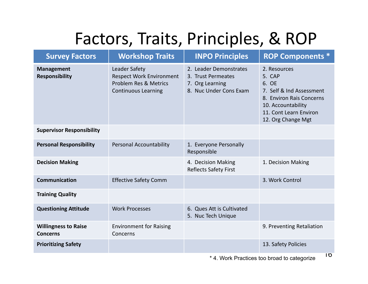#### Factors, Traits, Principles, & ROP

| <b>Workshop Traits</b>                                                                                  | <b>INPO Principles</b>                                                                    | <b>ROP Components *</b>                                                                                                                                       |  |  |
|---------------------------------------------------------------------------------------------------------|-------------------------------------------------------------------------------------------|---------------------------------------------------------------------------------------------------------------------------------------------------------------|--|--|
| Leader Safety<br><b>Respect Work Environment</b><br>Problem Res & Metrics<br><b>Continuous Learning</b> | 2. Leader Demonstrates<br>3. Trust Permeates<br>7. Org Learning<br>8. Nuc Under Cons Exam | 2. Resources<br>5. CAP<br>6. OE<br>7. Self & Ind Assessment<br>8. Environ Rais Concerns<br>10. Accountability<br>11. Cont Learn Environ<br>12. Org Change Mgt |  |  |
|                                                                                                         |                                                                                           |                                                                                                                                                               |  |  |
| <b>Personal Accountability</b>                                                                          | 1. Everyone Personally<br>Responsible                                                     |                                                                                                                                                               |  |  |
|                                                                                                         | 4. Decision Making<br><b>Reflects Safety First</b>                                        | 1. Decision Making                                                                                                                                            |  |  |
| <b>Effective Safety Comm</b>                                                                            |                                                                                           | 3. Work Control                                                                                                                                               |  |  |
|                                                                                                         |                                                                                           |                                                                                                                                                               |  |  |
| <b>Work Processes</b>                                                                                   | 6. Ques Att is Cultivated<br>5. Nuc Tech Unique                                           |                                                                                                                                                               |  |  |
| <b>Environment for Raising</b><br>Concerns                                                              |                                                                                           | 9. Preventing Retaliation                                                                                                                                     |  |  |
|                                                                                                         |                                                                                           | 13. Safety Policies<br>10                                                                                                                                     |  |  |
|                                                                                                         |                                                                                           | * A. Maule Dungtings to a long and to note under                                                                                                              |  |  |

\* 4. Work Practices too broad to categorize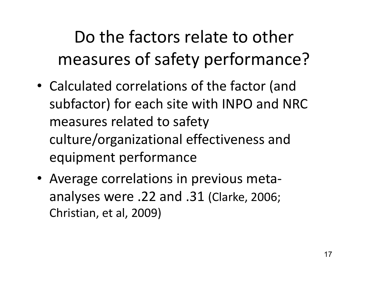Do the factors relate to other measures of safety performance?

- Calculated correlations of the factor (and subfactor) for each site with INPO and NRC measures related to safety culture/organizational effectiveness and equipment performance
- Average correlations in previous metaanalyses were .22 and .31 (Clarke, 2006; Christian, et al, 2009)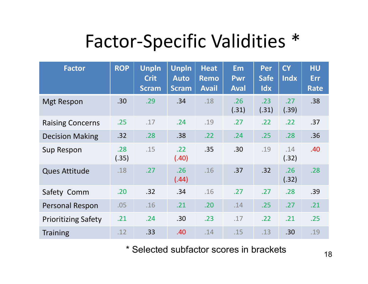### Factor-Specific Validities \*

| <b>Factor</b>              | <b>ROP</b>   | <b>Unpln</b><br><b>Crit</b><br><b>Scram</b> | <b>Unpln</b><br><b>Auto</b><br><b>Scram</b> | <b>Heat</b><br><b>Remo</b><br><b>Avail</b> | <b>Em</b><br><b>Pwr</b><br><b>Aval</b> | Per<br><b>Safe</b><br>Idx | <b>CY</b><br><b>Indx</b> | <b>HU</b><br><b>Err</b><br>Rate |
|----------------------------|--------------|---------------------------------------------|---------------------------------------------|--------------------------------------------|----------------------------------------|---------------------------|--------------------------|---------------------------------|
| <b>Mgt Respon</b>          | .30          | .29                                         | .34                                         | .18                                        | .26<br>(.31)                           | .23<br>(.31)              | .27<br>(.39)             | .38                             |
| <b>Raising Concerns</b>    | .25          | .17                                         | .24                                         | .19                                        | .27                                    | .22                       | .22                      | .37                             |
| <b>Decision Making</b>     | .32          | .28                                         | .38                                         | .22                                        | .24                                    | .25                       | .28                      | .36                             |
| Sup Respon                 | .28<br>(.35) | .15                                         | .22<br>(.40)                                | .35                                        | .30                                    | .19                       | .14<br>(.32)             | .40                             |
| <b>Ques Attitude</b>       | .18          | .27                                         | .26<br>(.44)                                | .16                                        | .37                                    | .32                       | .26<br>(.32)             | .28                             |
| Safety Comm                | .20          | .32                                         | .34                                         | .16                                        | .27                                    | .27                       | .28                      | .39                             |
| Personal Respon            | .05          | .16                                         | .21                                         | .20                                        | .14                                    | .25                       | .27                      | .21                             |
| <b>Prioritizing Safety</b> | .21          | .24                                         | .30                                         | .23                                        | .17                                    | .22                       | .21                      | .25                             |
| <b>Training</b>            | .12          | .33                                         | .40                                         | .14                                        | .15                                    | .13                       | .30                      | .19                             |

\* Selected subfactor scores in brackets